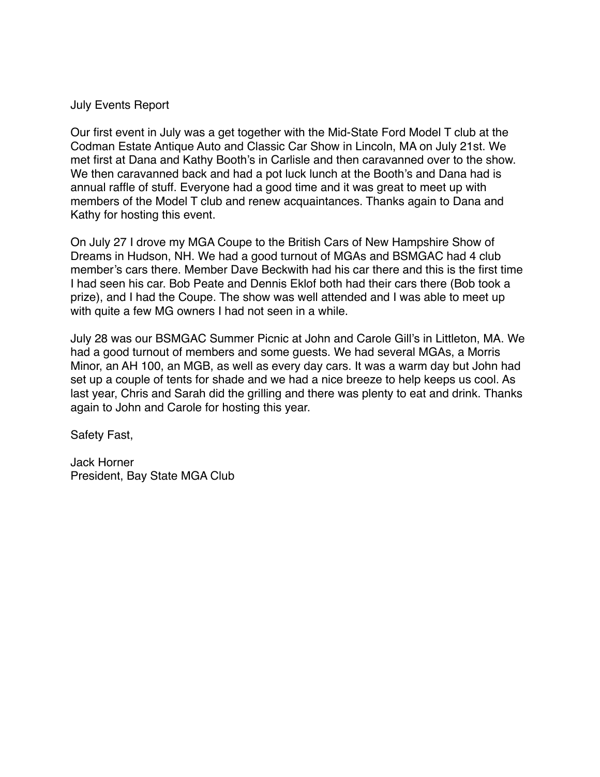## July Events Report

Our first event in July was a get together with the Mid-State Ford Model T club at the Codman Estate Antique Auto and Classic Car Show in Lincoln, MA on July 21st. We met first at Dana and Kathy Booth's in Carlisle and then caravanned over to the show. We then caravanned back and had a pot luck lunch at the Booth's and Dana had is annual raffle of stuff. Everyone had a good time and it was great to meet up with members of the Model T club and renew acquaintances. Thanks again to Dana and Kathy for hosting this event.

On July 27 I drove my MGA Coupe to the British Cars of New Hampshire Show of Dreams in Hudson, NH. We had a good turnout of MGAs and BSMGAC had 4 club member's cars there. Member Dave Beckwith had his car there and this is the first time I had seen his car. Bob Peate and Dennis Eklof both had their cars there (Bob took a prize), and I had the Coupe. The show was well attended and I was able to meet up with quite a few MG owners I had not seen in a while.

July 28 was our BSMGAC Summer Picnic at John and Carole Gill's in Littleton, MA. We had a good turnout of members and some guests. We had several MGAs, a Morris Minor, an AH 100, an MGB, as well as every day cars. It was a warm day but John had set up a couple of tents for shade and we had a nice breeze to help keeps us cool. As last year, Chris and Sarah did the grilling and there was plenty to eat and drink. Thanks again to John and Carole for hosting this year.

Safety Fast,

Jack Horner President, Bay State MGA Club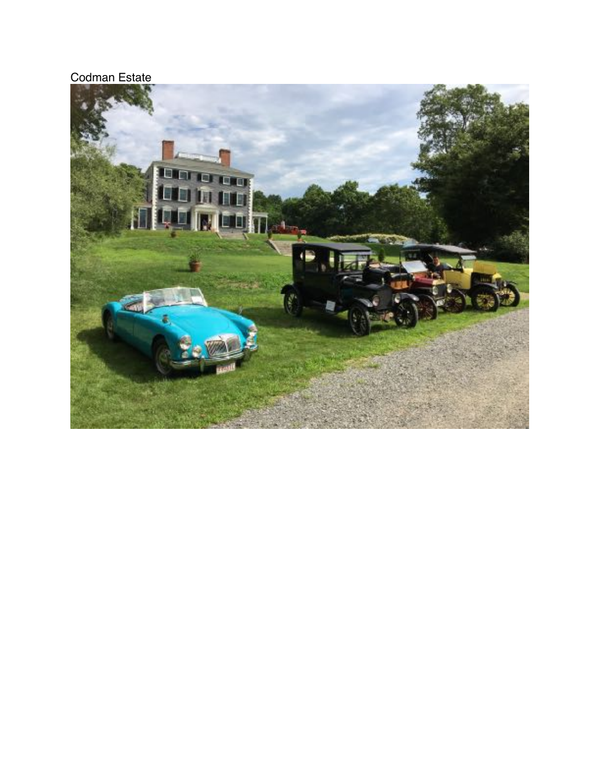## Codman Estate

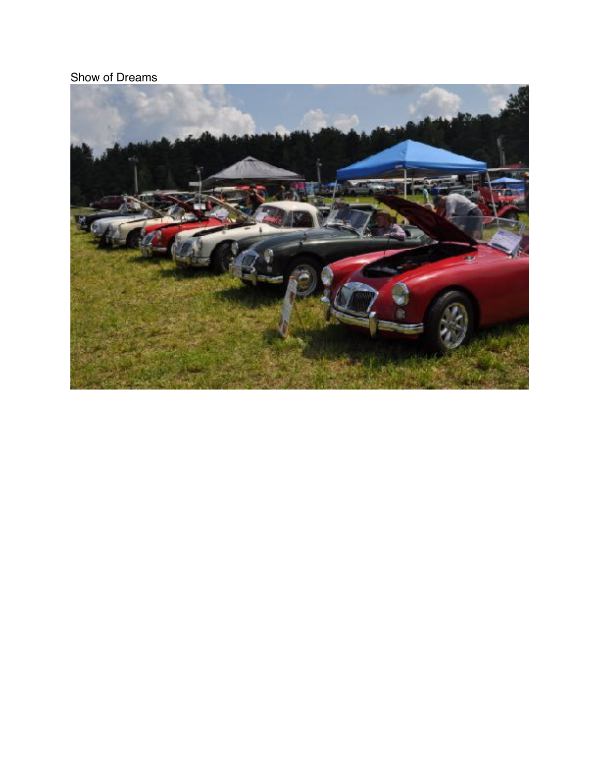Show of Dreams